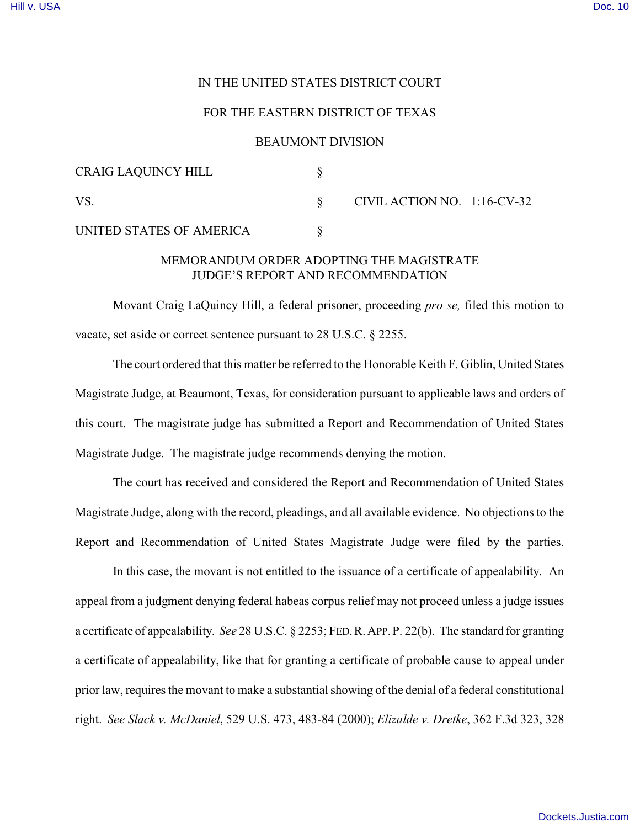## IN THE UNITED STATES DISTRICT COURT

## FOR THE EASTERN DISTRICT OF TEXAS

### BEAUMONT DIVISION

| <b>CRAIG LAQUINCY HILL</b>                    |  |                                |  |
|-----------------------------------------------|--|--------------------------------|--|
| VS.                                           |  | CIVIL ACTION NO. $1:16$ -CV-32 |  |
| UNITED STATES OF AMERICA                      |  |                                |  |
| MEMOD ANINHA ODDED. ADODEINIG THE MACIGTD ATE |  |                                |  |

# MEMORANDUM ORDER ADOPTING THE MAGISTRATE JUDGE'S REPORT AND RECOMMENDATION

Movant Craig LaQuincy Hill, a federal prisoner, proceeding *pro se,* filed this motion to vacate, set aside or correct sentence pursuant to 28 U.S.C. § 2255.

The court ordered that this matter be referred to the Honorable Keith F. Giblin, United States Magistrate Judge, at Beaumont, Texas, for consideration pursuant to applicable laws and orders of this court. The magistrate judge has submitted a Report and Recommendation of United States Magistrate Judge. The magistrate judge recommends denying the motion.

The court has received and considered the Report and Recommendation of United States Magistrate Judge, along with the record, pleadings, and all available evidence. No objections to the Report and Recommendation of United States Magistrate Judge were filed by the parties.

In this case, the movant is not entitled to the issuance of a certificate of appealability. An appeal from a judgment denying federal habeas corpus relief may not proceed unless a judge issues a certificate of appealability. *See* 28 U.S.C. § 2253; FED.R.APP.P. 22(b). The standard for granting a certificate of appealability, like that for granting a certificate of probable cause to appeal under prior law, requires the movant to make a substantial showing of the denial of a federal constitutional right. *See Slack v. McDaniel*, 529 U.S. 473, 483-84 (2000); *Elizalde v. Dretke*, 362 F.3d 323, 328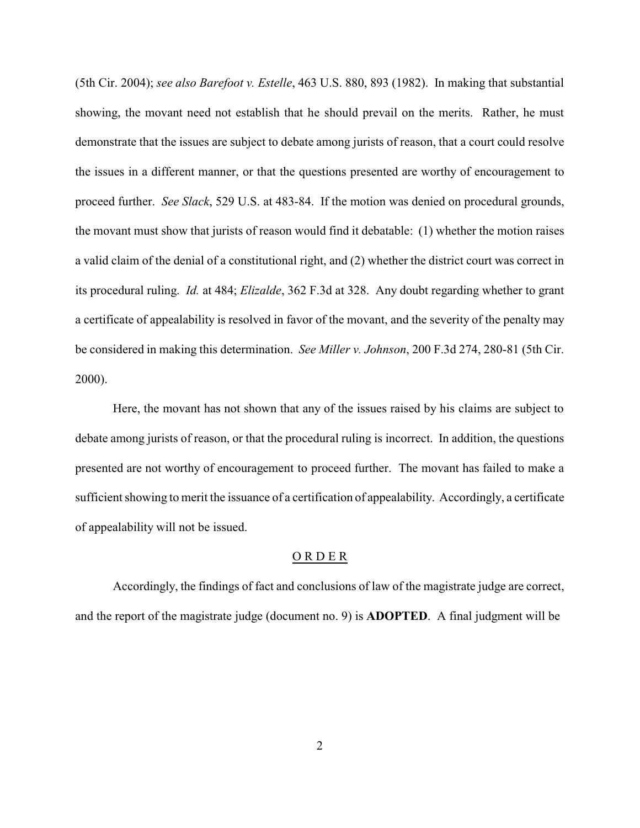(5th Cir. 2004); *see also Barefoot v. Estelle*, 463 U.S. 880, 893 (1982). In making that substantial showing, the movant need not establish that he should prevail on the merits. Rather, he must demonstrate that the issues are subject to debate among jurists of reason, that a court could resolve the issues in a different manner, or that the questions presented are worthy of encouragement to proceed further. *See Slack*, 529 U.S. at 483-84. If the motion was denied on procedural grounds, the movant must show that jurists of reason would find it debatable: (1) whether the motion raises a valid claim of the denial of a constitutional right, and (2) whether the district court was correct in its procedural ruling. *Id.* at 484; *Elizalde*, 362 F.3d at 328. Any doubt regarding whether to grant a certificate of appealability is resolved in favor of the movant, and the severity of the penalty may be considered in making this determination. *See Miller v. Johnson*, 200 F.3d 274, 280-81 (5th Cir. 2000).

Here, the movant has not shown that any of the issues raised by his claims are subject to debate among jurists of reason, or that the procedural ruling is incorrect. In addition, the questions presented are not worthy of encouragement to proceed further. The movant has failed to make a sufficient showing to merit the issuance of a certification of appealability. Accordingly, a certificate of appealability will not be issued.

#### O R D E R

Accordingly, the findings of fact and conclusions of law of the magistrate judge are correct, and the report of the magistrate judge (document no. 9) is **ADOPTED**. A final judgment will be